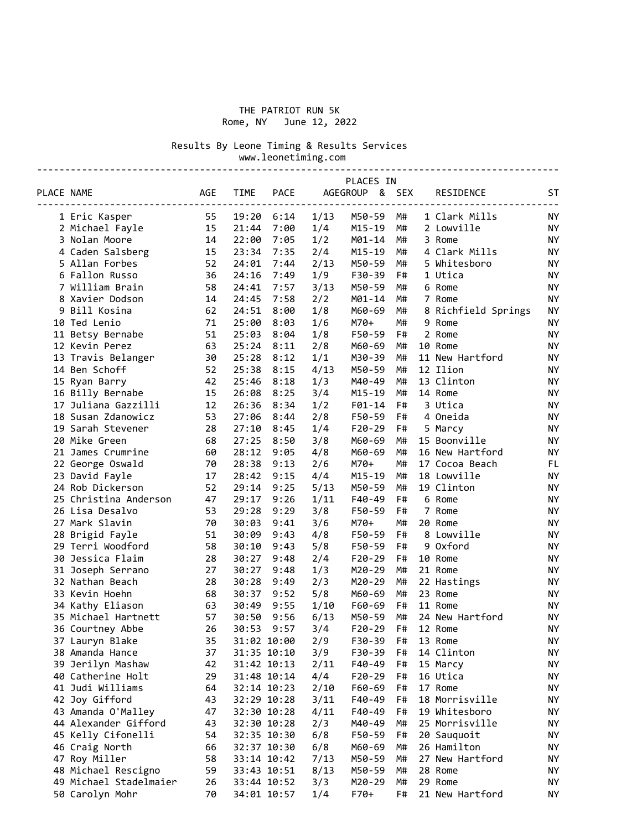### THE PATRIOT RUN 5K Rome, NY June 12, 2022

Results By Leone Timing & Results Services

 www.leonetiming.com ---------------------------------------------------------------------------------------------

| AGEGROUP & SEX<br><b>AGE</b><br><b>TIME</b><br><b>PACE</b><br>PLACE NAME<br>RESIDENCE<br>ST<br>$- - - -$<br>55<br>19:20<br>1/13<br>M50-59<br>1 Clark Mills<br>1 Eric Kasper<br>6:14<br>M#<br>ΝY<br>2 Michael Fayle<br>15<br>21:44<br>7:00<br>1/4<br>M15-19<br>M#<br>2 Lowville<br>ΝY<br>3 Nolan Moore<br>22:00<br>7:05<br>1/2<br>M01-14<br>M#<br><b>NY</b><br>14<br>3 Rome<br>4 Caden Salsberg<br>15<br>23:34<br>7:35<br>2/4<br>M15-19<br>M#<br>4 Clark Mills<br><b>NY</b><br>M#<br>5 Allan Forbes<br>52<br>24:01<br>2/13<br>M50-59<br>5 Whitesboro<br>ΝY<br>7:44<br>1/9<br>F#<br>6 Fallon Russo<br>36<br>24:16<br>7:49<br>F30-39<br>1 Utica<br>ΝY<br>58<br>3/13<br>M#<br><b>NY</b><br>7 William Brain<br>24:41<br>7:57<br>M50-59<br>6 Rome<br>2/2<br>8 Xavier Dodson<br>14<br>24:45<br>7:58<br>M01-14<br>M#<br>7 Rome<br><b>NY</b><br>NY<br>9 Bill Kosina<br>62<br>24:51<br>8:00<br>1/8<br>M60-69<br>M#<br>8 Richfield Springs<br>10 Ted Lenio<br>71<br>25:00<br>1/6<br>$M70+$<br>M#<br>9 Rome<br><b>NY</b><br>8:03<br>11 Betsy Bernabe<br>51<br>25:03<br>1/8<br>F50-59<br>F#<br>2 Rome<br><b>NY</b><br>8:04<br>12 Kevin Perez<br>63<br>25:24<br>8:11<br>2/8<br>M60-69<br>M#<br>10 Rome<br><b>NY</b><br>30<br>25:28<br>8:12<br>1/1<br>M#<br>11 New Hartford<br>NY<br>13 Travis Belanger<br>M30-39<br>4/13<br>12 Ilion<br>14 Ben Schoff<br>52<br>25:38<br>8:15<br>M50-59<br>M#<br>ΝY<br>42<br>M#<br>13 Clinton<br>15 Ryan Barry<br>25:46<br>8:18<br>1/3<br>M40-49<br><b>NY</b><br>16 Billy Bernabe<br>15<br>26:08<br>8:25<br>3/4<br>$M15 - 19$<br>M#<br>14 Rome<br><b>NY</b><br>17 Juliana Gazzilli<br>F#<br>12<br>26:36<br>8:34<br>1/2<br>F01-14<br>3 Utica<br><b>NY</b><br>18 Susan Zdanowicz<br>53<br>27:06<br>2/8<br>F50-59<br>F#<br>4 Oneida<br>ΝY<br>8:44<br>19 Sarah Stevener<br>28<br>27:10<br>1/4<br>$F20-29$<br>F#<br><b>NY</b><br>8:45<br>5 Marcy<br>20 Mike Green<br>68<br>27:25<br>8:50<br>3/8<br>M60-69<br>M#<br>15 Boonville<br><b>NY</b><br>28:12<br>4/8<br>M#<br>21 James Crumrine<br>60<br>9:05<br>M60-69<br>16 New Hartford<br>ΝY<br>2/6<br>22 George Oswald<br>70<br>28:38<br>9:13<br>M70+<br>M#<br>17 Cocoa Beach<br>FL<br>4/4<br>23 David Fayle<br>17<br>28:42<br>9:15<br>M15-19<br>M#<br>18 Lowville<br><b>NY</b><br>52<br>M#<br>19 Clinton<br>24 Rob Dickerson<br>29:14<br>9:25<br>5/13<br>M50-59<br><b>NY</b><br>47<br>F#<br>25 Christina Anderson<br>29:17<br>9:26<br>1/11<br>F40-49<br>6 Rome<br><b>NY</b><br>26 Lisa Desalvo<br>53<br>29:28<br>9:29<br>3/8<br>F50-59<br>F#<br>7 Rome<br><b>NY</b><br>27 Mark Slavin<br>70<br>30:03<br>3/6<br>M70+<br>M#<br>20 Rome<br><b>NY</b><br>9:41<br>28 Brigid Fayle<br>51<br>30:09<br>4/8<br>F50-59<br>F#<br>8 Lowville<br><b>NY</b><br>9:43<br>F#<br>9 Oxford<br>29 Terri Woodford<br>58<br>30:10<br>5/8<br><b>NY</b><br>9:43<br>F50-59<br>30 Jessica Flaim<br>28<br>30:27<br>9:48<br>2/4<br>$F20-29$<br>F#<br>10 Rome<br>ΝY<br>30:27<br>M#<br>31 Joseph Serrano<br>27<br>9:48<br>1/3<br>M20-29<br>21 Rome<br><b>NY</b><br>30:28<br>M#<br>32 Nathan Beach<br>28<br>9:49<br>2/3<br>M20-29<br>22 Hastings<br><b>NY</b><br>33 Kevin Hoehn<br>68<br>30:37<br>9:52<br>5/8<br>M60-69<br>M#<br>23 Rome<br><b>NY</b><br>34 Kathy Eliason<br>63<br>30:49<br>9:55<br>1/10<br>F60-69<br>F#<br>11 Rome<br><b>NY</b><br>35 Michael Hartnett<br>57<br>30:50<br>9:56<br>6/13<br>M50-59<br>M#<br>24 New Hartford<br><b>NY</b><br>36 Courtney Abbe<br>26<br>30:53<br>9:57<br>3/4<br>$F20-29$<br>F#<br>12 Rome<br>NY<br>35<br>2/9<br>F#<br><b>NY</b><br>37 Lauryn Blake<br>31:02 10:00<br>F30-39<br>13 Rome<br>38 Amanda Hance<br>31:35 10:10<br>3/9<br>14 Clinton<br>37<br>F30-39<br>F#<br>NΥ<br>39 Jerilyn Mashaw<br>2/11<br>F#<br>ΝY<br>42<br>31:42 10:13<br>F40-49<br>15 Marcy<br>40 Catherine Holt<br>29<br>31:48 10:14<br>4/4<br>F20-29<br>F#<br>16 Utica<br>ΝY<br>41 Judi Williams<br>2/10<br>F#<br>17 Rome<br>ΝY<br>64<br>32:14 10:23<br>F60-69<br>18 Morrisville<br>42 Joy Gifford<br>43<br>32:29 10:28<br>3/11<br>F40-49<br>F#<br>ΝY<br>19 Whitesboro<br>43 Amanda O'Malley<br>32:30 10:28<br>4/11<br>F#<br>47<br>F40-49<br>NΥ<br>25 Morrisville<br>44 Alexander Gifford<br>32:30 10:28<br>2/3<br>M#<br>43<br>M40-49<br>NΥ<br>45 Kelly Cifonelli<br>6/8<br>F50-59<br>20 Sauquoit<br>54<br>32:35 10:30<br>F#<br>ΝY<br>46 Craig North<br>32:37 10:30<br>6/8<br>M60-69<br>M#<br>26 Hamilton<br>66<br>ΝY<br>47 Roy Miller<br>58<br>7/13<br>M#<br>27 New Hartford<br>33:14 10:42<br>M50-59<br>NΥ<br>48 Michael Rescigno<br>59<br>8/13<br>M50-59<br>M#<br>28 Rome<br>33:43 10:51<br>NΥ<br>49 Michael Stadelmaier<br>3/3<br>M20-29<br>M#<br>29 Rome<br>ΝY<br>26<br>33:44 10:52<br>50 Carolyn Mohr<br>21 New Hartford<br>70<br>34:01 10:57<br>1/4<br>F70+<br>F#<br>NY. |  |  |  | PLACES IN |  |  |
|----------------------------------------------------------------------------------------------------------------------------------------------------------------------------------------------------------------------------------------------------------------------------------------------------------------------------------------------------------------------------------------------------------------------------------------------------------------------------------------------------------------------------------------------------------------------------------------------------------------------------------------------------------------------------------------------------------------------------------------------------------------------------------------------------------------------------------------------------------------------------------------------------------------------------------------------------------------------------------------------------------------------------------------------------------------------------------------------------------------------------------------------------------------------------------------------------------------------------------------------------------------------------------------------------------------------------------------------------------------------------------------------------------------------------------------------------------------------------------------------------------------------------------------------------------------------------------------------------------------------------------------------------------------------------------------------------------------------------------------------------------------------------------------------------------------------------------------------------------------------------------------------------------------------------------------------------------------------------------------------------------------------------------------------------------------------------------------------------------------------------------------------------------------------------------------------------------------------------------------------------------------------------------------------------------------------------------------------------------------------------------------------------------------------------------------------------------------------------------------------------------------------------------------------------------------------------------------------------------------------------------------------------------------------------------------------------------------------------------------------------------------------------------------------------------------------------------------------------------------------------------------------------------------------------------------------------------------------------------------------------------------------------------------------------------------------------------------------------------------------------------------------------------------------------------------------------------------------------------------------------------------------------------------------------------------------------------------------------------------------------------------------------------------------------------------------------------------------------------------------------------------------------------------------------------------------------------------------------------------------------------------------------------------------------------------------------------------------------------------------------------------------------------------------------------------------------------------------------------------------------------------------------------------------------------------------------------------------------------------------------------------------------------------------------------------------------------------------------------------------------------------------------------------------------------------------------------------------------------------------------------------------------------------------------------------------------------------------------------------------------------------------------------------------------------------------------------------------------------------------------------------------------------------------------------------------------------------------------------------------------------------------------------------------------------------------------------------------------|--|--|--|-----------|--|--|
|                                                                                                                                                                                                                                                                                                                                                                                                                                                                                                                                                                                                                                                                                                                                                                                                                                                                                                                                                                                                                                                                                                                                                                                                                                                                                                                                                                                                                                                                                                                                                                                                                                                                                                                                                                                                                                                                                                                                                                                                                                                                                                                                                                                                                                                                                                                                                                                                                                                                                                                                                                                                                                                                                                                                                                                                                                                                                                                                                                                                                                                                                                                                                                                                                                                                                                                                                                                                                                                                                                                                                                                                                                                                                                                                                                                                                                                                                                                                                                                                                                                                                                                                                                                                                                                                                                                                                                                                                                                                                                                                                                                                                                                                                                                            |  |  |  |           |  |  |
|                                                                                                                                                                                                                                                                                                                                                                                                                                                                                                                                                                                                                                                                                                                                                                                                                                                                                                                                                                                                                                                                                                                                                                                                                                                                                                                                                                                                                                                                                                                                                                                                                                                                                                                                                                                                                                                                                                                                                                                                                                                                                                                                                                                                                                                                                                                                                                                                                                                                                                                                                                                                                                                                                                                                                                                                                                                                                                                                                                                                                                                                                                                                                                                                                                                                                                                                                                                                                                                                                                                                                                                                                                                                                                                                                                                                                                                                                                                                                                                                                                                                                                                                                                                                                                                                                                                                                                                                                                                                                                                                                                                                                                                                                                                            |  |  |  |           |  |  |
|                                                                                                                                                                                                                                                                                                                                                                                                                                                                                                                                                                                                                                                                                                                                                                                                                                                                                                                                                                                                                                                                                                                                                                                                                                                                                                                                                                                                                                                                                                                                                                                                                                                                                                                                                                                                                                                                                                                                                                                                                                                                                                                                                                                                                                                                                                                                                                                                                                                                                                                                                                                                                                                                                                                                                                                                                                                                                                                                                                                                                                                                                                                                                                                                                                                                                                                                                                                                                                                                                                                                                                                                                                                                                                                                                                                                                                                                                                                                                                                                                                                                                                                                                                                                                                                                                                                                                                                                                                                                                                                                                                                                                                                                                                                            |  |  |  |           |  |  |
|                                                                                                                                                                                                                                                                                                                                                                                                                                                                                                                                                                                                                                                                                                                                                                                                                                                                                                                                                                                                                                                                                                                                                                                                                                                                                                                                                                                                                                                                                                                                                                                                                                                                                                                                                                                                                                                                                                                                                                                                                                                                                                                                                                                                                                                                                                                                                                                                                                                                                                                                                                                                                                                                                                                                                                                                                                                                                                                                                                                                                                                                                                                                                                                                                                                                                                                                                                                                                                                                                                                                                                                                                                                                                                                                                                                                                                                                                                                                                                                                                                                                                                                                                                                                                                                                                                                                                                                                                                                                                                                                                                                                                                                                                                                            |  |  |  |           |  |  |
|                                                                                                                                                                                                                                                                                                                                                                                                                                                                                                                                                                                                                                                                                                                                                                                                                                                                                                                                                                                                                                                                                                                                                                                                                                                                                                                                                                                                                                                                                                                                                                                                                                                                                                                                                                                                                                                                                                                                                                                                                                                                                                                                                                                                                                                                                                                                                                                                                                                                                                                                                                                                                                                                                                                                                                                                                                                                                                                                                                                                                                                                                                                                                                                                                                                                                                                                                                                                                                                                                                                                                                                                                                                                                                                                                                                                                                                                                                                                                                                                                                                                                                                                                                                                                                                                                                                                                                                                                                                                                                                                                                                                                                                                                                                            |  |  |  |           |  |  |
|                                                                                                                                                                                                                                                                                                                                                                                                                                                                                                                                                                                                                                                                                                                                                                                                                                                                                                                                                                                                                                                                                                                                                                                                                                                                                                                                                                                                                                                                                                                                                                                                                                                                                                                                                                                                                                                                                                                                                                                                                                                                                                                                                                                                                                                                                                                                                                                                                                                                                                                                                                                                                                                                                                                                                                                                                                                                                                                                                                                                                                                                                                                                                                                                                                                                                                                                                                                                                                                                                                                                                                                                                                                                                                                                                                                                                                                                                                                                                                                                                                                                                                                                                                                                                                                                                                                                                                                                                                                                                                                                                                                                                                                                                                                            |  |  |  |           |  |  |
|                                                                                                                                                                                                                                                                                                                                                                                                                                                                                                                                                                                                                                                                                                                                                                                                                                                                                                                                                                                                                                                                                                                                                                                                                                                                                                                                                                                                                                                                                                                                                                                                                                                                                                                                                                                                                                                                                                                                                                                                                                                                                                                                                                                                                                                                                                                                                                                                                                                                                                                                                                                                                                                                                                                                                                                                                                                                                                                                                                                                                                                                                                                                                                                                                                                                                                                                                                                                                                                                                                                                                                                                                                                                                                                                                                                                                                                                                                                                                                                                                                                                                                                                                                                                                                                                                                                                                                                                                                                                                                                                                                                                                                                                                                                            |  |  |  |           |  |  |
|                                                                                                                                                                                                                                                                                                                                                                                                                                                                                                                                                                                                                                                                                                                                                                                                                                                                                                                                                                                                                                                                                                                                                                                                                                                                                                                                                                                                                                                                                                                                                                                                                                                                                                                                                                                                                                                                                                                                                                                                                                                                                                                                                                                                                                                                                                                                                                                                                                                                                                                                                                                                                                                                                                                                                                                                                                                                                                                                                                                                                                                                                                                                                                                                                                                                                                                                                                                                                                                                                                                                                                                                                                                                                                                                                                                                                                                                                                                                                                                                                                                                                                                                                                                                                                                                                                                                                                                                                                                                                                                                                                                                                                                                                                                            |  |  |  |           |  |  |
|                                                                                                                                                                                                                                                                                                                                                                                                                                                                                                                                                                                                                                                                                                                                                                                                                                                                                                                                                                                                                                                                                                                                                                                                                                                                                                                                                                                                                                                                                                                                                                                                                                                                                                                                                                                                                                                                                                                                                                                                                                                                                                                                                                                                                                                                                                                                                                                                                                                                                                                                                                                                                                                                                                                                                                                                                                                                                                                                                                                                                                                                                                                                                                                                                                                                                                                                                                                                                                                                                                                                                                                                                                                                                                                                                                                                                                                                                                                                                                                                                                                                                                                                                                                                                                                                                                                                                                                                                                                                                                                                                                                                                                                                                                                            |  |  |  |           |  |  |
|                                                                                                                                                                                                                                                                                                                                                                                                                                                                                                                                                                                                                                                                                                                                                                                                                                                                                                                                                                                                                                                                                                                                                                                                                                                                                                                                                                                                                                                                                                                                                                                                                                                                                                                                                                                                                                                                                                                                                                                                                                                                                                                                                                                                                                                                                                                                                                                                                                                                                                                                                                                                                                                                                                                                                                                                                                                                                                                                                                                                                                                                                                                                                                                                                                                                                                                                                                                                                                                                                                                                                                                                                                                                                                                                                                                                                                                                                                                                                                                                                                                                                                                                                                                                                                                                                                                                                                                                                                                                                                                                                                                                                                                                                                                            |  |  |  |           |  |  |
|                                                                                                                                                                                                                                                                                                                                                                                                                                                                                                                                                                                                                                                                                                                                                                                                                                                                                                                                                                                                                                                                                                                                                                                                                                                                                                                                                                                                                                                                                                                                                                                                                                                                                                                                                                                                                                                                                                                                                                                                                                                                                                                                                                                                                                                                                                                                                                                                                                                                                                                                                                                                                                                                                                                                                                                                                                                                                                                                                                                                                                                                                                                                                                                                                                                                                                                                                                                                                                                                                                                                                                                                                                                                                                                                                                                                                                                                                                                                                                                                                                                                                                                                                                                                                                                                                                                                                                                                                                                                                                                                                                                                                                                                                                                            |  |  |  |           |  |  |
|                                                                                                                                                                                                                                                                                                                                                                                                                                                                                                                                                                                                                                                                                                                                                                                                                                                                                                                                                                                                                                                                                                                                                                                                                                                                                                                                                                                                                                                                                                                                                                                                                                                                                                                                                                                                                                                                                                                                                                                                                                                                                                                                                                                                                                                                                                                                                                                                                                                                                                                                                                                                                                                                                                                                                                                                                                                                                                                                                                                                                                                                                                                                                                                                                                                                                                                                                                                                                                                                                                                                                                                                                                                                                                                                                                                                                                                                                                                                                                                                                                                                                                                                                                                                                                                                                                                                                                                                                                                                                                                                                                                                                                                                                                                            |  |  |  |           |  |  |
|                                                                                                                                                                                                                                                                                                                                                                                                                                                                                                                                                                                                                                                                                                                                                                                                                                                                                                                                                                                                                                                                                                                                                                                                                                                                                                                                                                                                                                                                                                                                                                                                                                                                                                                                                                                                                                                                                                                                                                                                                                                                                                                                                                                                                                                                                                                                                                                                                                                                                                                                                                                                                                                                                                                                                                                                                                                                                                                                                                                                                                                                                                                                                                                                                                                                                                                                                                                                                                                                                                                                                                                                                                                                                                                                                                                                                                                                                                                                                                                                                                                                                                                                                                                                                                                                                                                                                                                                                                                                                                                                                                                                                                                                                                                            |  |  |  |           |  |  |
|                                                                                                                                                                                                                                                                                                                                                                                                                                                                                                                                                                                                                                                                                                                                                                                                                                                                                                                                                                                                                                                                                                                                                                                                                                                                                                                                                                                                                                                                                                                                                                                                                                                                                                                                                                                                                                                                                                                                                                                                                                                                                                                                                                                                                                                                                                                                                                                                                                                                                                                                                                                                                                                                                                                                                                                                                                                                                                                                                                                                                                                                                                                                                                                                                                                                                                                                                                                                                                                                                                                                                                                                                                                                                                                                                                                                                                                                                                                                                                                                                                                                                                                                                                                                                                                                                                                                                                                                                                                                                                                                                                                                                                                                                                                            |  |  |  |           |  |  |
|                                                                                                                                                                                                                                                                                                                                                                                                                                                                                                                                                                                                                                                                                                                                                                                                                                                                                                                                                                                                                                                                                                                                                                                                                                                                                                                                                                                                                                                                                                                                                                                                                                                                                                                                                                                                                                                                                                                                                                                                                                                                                                                                                                                                                                                                                                                                                                                                                                                                                                                                                                                                                                                                                                                                                                                                                                                                                                                                                                                                                                                                                                                                                                                                                                                                                                                                                                                                                                                                                                                                                                                                                                                                                                                                                                                                                                                                                                                                                                                                                                                                                                                                                                                                                                                                                                                                                                                                                                                                                                                                                                                                                                                                                                                            |  |  |  |           |  |  |
|                                                                                                                                                                                                                                                                                                                                                                                                                                                                                                                                                                                                                                                                                                                                                                                                                                                                                                                                                                                                                                                                                                                                                                                                                                                                                                                                                                                                                                                                                                                                                                                                                                                                                                                                                                                                                                                                                                                                                                                                                                                                                                                                                                                                                                                                                                                                                                                                                                                                                                                                                                                                                                                                                                                                                                                                                                                                                                                                                                                                                                                                                                                                                                                                                                                                                                                                                                                                                                                                                                                                                                                                                                                                                                                                                                                                                                                                                                                                                                                                                                                                                                                                                                                                                                                                                                                                                                                                                                                                                                                                                                                                                                                                                                                            |  |  |  |           |  |  |
|                                                                                                                                                                                                                                                                                                                                                                                                                                                                                                                                                                                                                                                                                                                                                                                                                                                                                                                                                                                                                                                                                                                                                                                                                                                                                                                                                                                                                                                                                                                                                                                                                                                                                                                                                                                                                                                                                                                                                                                                                                                                                                                                                                                                                                                                                                                                                                                                                                                                                                                                                                                                                                                                                                                                                                                                                                                                                                                                                                                                                                                                                                                                                                                                                                                                                                                                                                                                                                                                                                                                                                                                                                                                                                                                                                                                                                                                                                                                                                                                                                                                                                                                                                                                                                                                                                                                                                                                                                                                                                                                                                                                                                                                                                                            |  |  |  |           |  |  |
|                                                                                                                                                                                                                                                                                                                                                                                                                                                                                                                                                                                                                                                                                                                                                                                                                                                                                                                                                                                                                                                                                                                                                                                                                                                                                                                                                                                                                                                                                                                                                                                                                                                                                                                                                                                                                                                                                                                                                                                                                                                                                                                                                                                                                                                                                                                                                                                                                                                                                                                                                                                                                                                                                                                                                                                                                                                                                                                                                                                                                                                                                                                                                                                                                                                                                                                                                                                                                                                                                                                                                                                                                                                                                                                                                                                                                                                                                                                                                                                                                                                                                                                                                                                                                                                                                                                                                                                                                                                                                                                                                                                                                                                                                                                            |  |  |  |           |  |  |
|                                                                                                                                                                                                                                                                                                                                                                                                                                                                                                                                                                                                                                                                                                                                                                                                                                                                                                                                                                                                                                                                                                                                                                                                                                                                                                                                                                                                                                                                                                                                                                                                                                                                                                                                                                                                                                                                                                                                                                                                                                                                                                                                                                                                                                                                                                                                                                                                                                                                                                                                                                                                                                                                                                                                                                                                                                                                                                                                                                                                                                                                                                                                                                                                                                                                                                                                                                                                                                                                                                                                                                                                                                                                                                                                                                                                                                                                                                                                                                                                                                                                                                                                                                                                                                                                                                                                                                                                                                                                                                                                                                                                                                                                                                                            |  |  |  |           |  |  |
|                                                                                                                                                                                                                                                                                                                                                                                                                                                                                                                                                                                                                                                                                                                                                                                                                                                                                                                                                                                                                                                                                                                                                                                                                                                                                                                                                                                                                                                                                                                                                                                                                                                                                                                                                                                                                                                                                                                                                                                                                                                                                                                                                                                                                                                                                                                                                                                                                                                                                                                                                                                                                                                                                                                                                                                                                                                                                                                                                                                                                                                                                                                                                                                                                                                                                                                                                                                                                                                                                                                                                                                                                                                                                                                                                                                                                                                                                                                                                                                                                                                                                                                                                                                                                                                                                                                                                                                                                                                                                                                                                                                                                                                                                                                            |  |  |  |           |  |  |
|                                                                                                                                                                                                                                                                                                                                                                                                                                                                                                                                                                                                                                                                                                                                                                                                                                                                                                                                                                                                                                                                                                                                                                                                                                                                                                                                                                                                                                                                                                                                                                                                                                                                                                                                                                                                                                                                                                                                                                                                                                                                                                                                                                                                                                                                                                                                                                                                                                                                                                                                                                                                                                                                                                                                                                                                                                                                                                                                                                                                                                                                                                                                                                                                                                                                                                                                                                                                                                                                                                                                                                                                                                                                                                                                                                                                                                                                                                                                                                                                                                                                                                                                                                                                                                                                                                                                                                                                                                                                                                                                                                                                                                                                                                                            |  |  |  |           |  |  |
|                                                                                                                                                                                                                                                                                                                                                                                                                                                                                                                                                                                                                                                                                                                                                                                                                                                                                                                                                                                                                                                                                                                                                                                                                                                                                                                                                                                                                                                                                                                                                                                                                                                                                                                                                                                                                                                                                                                                                                                                                                                                                                                                                                                                                                                                                                                                                                                                                                                                                                                                                                                                                                                                                                                                                                                                                                                                                                                                                                                                                                                                                                                                                                                                                                                                                                                                                                                                                                                                                                                                                                                                                                                                                                                                                                                                                                                                                                                                                                                                                                                                                                                                                                                                                                                                                                                                                                                                                                                                                                                                                                                                                                                                                                                            |  |  |  |           |  |  |
|                                                                                                                                                                                                                                                                                                                                                                                                                                                                                                                                                                                                                                                                                                                                                                                                                                                                                                                                                                                                                                                                                                                                                                                                                                                                                                                                                                                                                                                                                                                                                                                                                                                                                                                                                                                                                                                                                                                                                                                                                                                                                                                                                                                                                                                                                                                                                                                                                                                                                                                                                                                                                                                                                                                                                                                                                                                                                                                                                                                                                                                                                                                                                                                                                                                                                                                                                                                                                                                                                                                                                                                                                                                                                                                                                                                                                                                                                                                                                                                                                                                                                                                                                                                                                                                                                                                                                                                                                                                                                                                                                                                                                                                                                                                            |  |  |  |           |  |  |
|                                                                                                                                                                                                                                                                                                                                                                                                                                                                                                                                                                                                                                                                                                                                                                                                                                                                                                                                                                                                                                                                                                                                                                                                                                                                                                                                                                                                                                                                                                                                                                                                                                                                                                                                                                                                                                                                                                                                                                                                                                                                                                                                                                                                                                                                                                                                                                                                                                                                                                                                                                                                                                                                                                                                                                                                                                                                                                                                                                                                                                                                                                                                                                                                                                                                                                                                                                                                                                                                                                                                                                                                                                                                                                                                                                                                                                                                                                                                                                                                                                                                                                                                                                                                                                                                                                                                                                                                                                                                                                                                                                                                                                                                                                                            |  |  |  |           |  |  |
|                                                                                                                                                                                                                                                                                                                                                                                                                                                                                                                                                                                                                                                                                                                                                                                                                                                                                                                                                                                                                                                                                                                                                                                                                                                                                                                                                                                                                                                                                                                                                                                                                                                                                                                                                                                                                                                                                                                                                                                                                                                                                                                                                                                                                                                                                                                                                                                                                                                                                                                                                                                                                                                                                                                                                                                                                                                                                                                                                                                                                                                                                                                                                                                                                                                                                                                                                                                                                                                                                                                                                                                                                                                                                                                                                                                                                                                                                                                                                                                                                                                                                                                                                                                                                                                                                                                                                                                                                                                                                                                                                                                                                                                                                                                            |  |  |  |           |  |  |
|                                                                                                                                                                                                                                                                                                                                                                                                                                                                                                                                                                                                                                                                                                                                                                                                                                                                                                                                                                                                                                                                                                                                                                                                                                                                                                                                                                                                                                                                                                                                                                                                                                                                                                                                                                                                                                                                                                                                                                                                                                                                                                                                                                                                                                                                                                                                                                                                                                                                                                                                                                                                                                                                                                                                                                                                                                                                                                                                                                                                                                                                                                                                                                                                                                                                                                                                                                                                                                                                                                                                                                                                                                                                                                                                                                                                                                                                                                                                                                                                                                                                                                                                                                                                                                                                                                                                                                                                                                                                                                                                                                                                                                                                                                                            |  |  |  |           |  |  |
|                                                                                                                                                                                                                                                                                                                                                                                                                                                                                                                                                                                                                                                                                                                                                                                                                                                                                                                                                                                                                                                                                                                                                                                                                                                                                                                                                                                                                                                                                                                                                                                                                                                                                                                                                                                                                                                                                                                                                                                                                                                                                                                                                                                                                                                                                                                                                                                                                                                                                                                                                                                                                                                                                                                                                                                                                                                                                                                                                                                                                                                                                                                                                                                                                                                                                                                                                                                                                                                                                                                                                                                                                                                                                                                                                                                                                                                                                                                                                                                                                                                                                                                                                                                                                                                                                                                                                                                                                                                                                                                                                                                                                                                                                                                            |  |  |  |           |  |  |
|                                                                                                                                                                                                                                                                                                                                                                                                                                                                                                                                                                                                                                                                                                                                                                                                                                                                                                                                                                                                                                                                                                                                                                                                                                                                                                                                                                                                                                                                                                                                                                                                                                                                                                                                                                                                                                                                                                                                                                                                                                                                                                                                                                                                                                                                                                                                                                                                                                                                                                                                                                                                                                                                                                                                                                                                                                                                                                                                                                                                                                                                                                                                                                                                                                                                                                                                                                                                                                                                                                                                                                                                                                                                                                                                                                                                                                                                                                                                                                                                                                                                                                                                                                                                                                                                                                                                                                                                                                                                                                                                                                                                                                                                                                                            |  |  |  |           |  |  |
|                                                                                                                                                                                                                                                                                                                                                                                                                                                                                                                                                                                                                                                                                                                                                                                                                                                                                                                                                                                                                                                                                                                                                                                                                                                                                                                                                                                                                                                                                                                                                                                                                                                                                                                                                                                                                                                                                                                                                                                                                                                                                                                                                                                                                                                                                                                                                                                                                                                                                                                                                                                                                                                                                                                                                                                                                                                                                                                                                                                                                                                                                                                                                                                                                                                                                                                                                                                                                                                                                                                                                                                                                                                                                                                                                                                                                                                                                                                                                                                                                                                                                                                                                                                                                                                                                                                                                                                                                                                                                                                                                                                                                                                                                                                            |  |  |  |           |  |  |
|                                                                                                                                                                                                                                                                                                                                                                                                                                                                                                                                                                                                                                                                                                                                                                                                                                                                                                                                                                                                                                                                                                                                                                                                                                                                                                                                                                                                                                                                                                                                                                                                                                                                                                                                                                                                                                                                                                                                                                                                                                                                                                                                                                                                                                                                                                                                                                                                                                                                                                                                                                                                                                                                                                                                                                                                                                                                                                                                                                                                                                                                                                                                                                                                                                                                                                                                                                                                                                                                                                                                                                                                                                                                                                                                                                                                                                                                                                                                                                                                                                                                                                                                                                                                                                                                                                                                                                                                                                                                                                                                                                                                                                                                                                                            |  |  |  |           |  |  |
|                                                                                                                                                                                                                                                                                                                                                                                                                                                                                                                                                                                                                                                                                                                                                                                                                                                                                                                                                                                                                                                                                                                                                                                                                                                                                                                                                                                                                                                                                                                                                                                                                                                                                                                                                                                                                                                                                                                                                                                                                                                                                                                                                                                                                                                                                                                                                                                                                                                                                                                                                                                                                                                                                                                                                                                                                                                                                                                                                                                                                                                                                                                                                                                                                                                                                                                                                                                                                                                                                                                                                                                                                                                                                                                                                                                                                                                                                                                                                                                                                                                                                                                                                                                                                                                                                                                                                                                                                                                                                                                                                                                                                                                                                                                            |  |  |  |           |  |  |
|                                                                                                                                                                                                                                                                                                                                                                                                                                                                                                                                                                                                                                                                                                                                                                                                                                                                                                                                                                                                                                                                                                                                                                                                                                                                                                                                                                                                                                                                                                                                                                                                                                                                                                                                                                                                                                                                                                                                                                                                                                                                                                                                                                                                                                                                                                                                                                                                                                                                                                                                                                                                                                                                                                                                                                                                                                                                                                                                                                                                                                                                                                                                                                                                                                                                                                                                                                                                                                                                                                                                                                                                                                                                                                                                                                                                                                                                                                                                                                                                                                                                                                                                                                                                                                                                                                                                                                                                                                                                                                                                                                                                                                                                                                                            |  |  |  |           |  |  |
|                                                                                                                                                                                                                                                                                                                                                                                                                                                                                                                                                                                                                                                                                                                                                                                                                                                                                                                                                                                                                                                                                                                                                                                                                                                                                                                                                                                                                                                                                                                                                                                                                                                                                                                                                                                                                                                                                                                                                                                                                                                                                                                                                                                                                                                                                                                                                                                                                                                                                                                                                                                                                                                                                                                                                                                                                                                                                                                                                                                                                                                                                                                                                                                                                                                                                                                                                                                                                                                                                                                                                                                                                                                                                                                                                                                                                                                                                                                                                                                                                                                                                                                                                                                                                                                                                                                                                                                                                                                                                                                                                                                                                                                                                                                            |  |  |  |           |  |  |
|                                                                                                                                                                                                                                                                                                                                                                                                                                                                                                                                                                                                                                                                                                                                                                                                                                                                                                                                                                                                                                                                                                                                                                                                                                                                                                                                                                                                                                                                                                                                                                                                                                                                                                                                                                                                                                                                                                                                                                                                                                                                                                                                                                                                                                                                                                                                                                                                                                                                                                                                                                                                                                                                                                                                                                                                                                                                                                                                                                                                                                                                                                                                                                                                                                                                                                                                                                                                                                                                                                                                                                                                                                                                                                                                                                                                                                                                                                                                                                                                                                                                                                                                                                                                                                                                                                                                                                                                                                                                                                                                                                                                                                                                                                                            |  |  |  |           |  |  |
|                                                                                                                                                                                                                                                                                                                                                                                                                                                                                                                                                                                                                                                                                                                                                                                                                                                                                                                                                                                                                                                                                                                                                                                                                                                                                                                                                                                                                                                                                                                                                                                                                                                                                                                                                                                                                                                                                                                                                                                                                                                                                                                                                                                                                                                                                                                                                                                                                                                                                                                                                                                                                                                                                                                                                                                                                                                                                                                                                                                                                                                                                                                                                                                                                                                                                                                                                                                                                                                                                                                                                                                                                                                                                                                                                                                                                                                                                                                                                                                                                                                                                                                                                                                                                                                                                                                                                                                                                                                                                                                                                                                                                                                                                                                            |  |  |  |           |  |  |
|                                                                                                                                                                                                                                                                                                                                                                                                                                                                                                                                                                                                                                                                                                                                                                                                                                                                                                                                                                                                                                                                                                                                                                                                                                                                                                                                                                                                                                                                                                                                                                                                                                                                                                                                                                                                                                                                                                                                                                                                                                                                                                                                                                                                                                                                                                                                                                                                                                                                                                                                                                                                                                                                                                                                                                                                                                                                                                                                                                                                                                                                                                                                                                                                                                                                                                                                                                                                                                                                                                                                                                                                                                                                                                                                                                                                                                                                                                                                                                                                                                                                                                                                                                                                                                                                                                                                                                                                                                                                                                                                                                                                                                                                                                                            |  |  |  |           |  |  |
|                                                                                                                                                                                                                                                                                                                                                                                                                                                                                                                                                                                                                                                                                                                                                                                                                                                                                                                                                                                                                                                                                                                                                                                                                                                                                                                                                                                                                                                                                                                                                                                                                                                                                                                                                                                                                                                                                                                                                                                                                                                                                                                                                                                                                                                                                                                                                                                                                                                                                                                                                                                                                                                                                                                                                                                                                                                                                                                                                                                                                                                                                                                                                                                                                                                                                                                                                                                                                                                                                                                                                                                                                                                                                                                                                                                                                                                                                                                                                                                                                                                                                                                                                                                                                                                                                                                                                                                                                                                                                                                                                                                                                                                                                                                            |  |  |  |           |  |  |
|                                                                                                                                                                                                                                                                                                                                                                                                                                                                                                                                                                                                                                                                                                                                                                                                                                                                                                                                                                                                                                                                                                                                                                                                                                                                                                                                                                                                                                                                                                                                                                                                                                                                                                                                                                                                                                                                                                                                                                                                                                                                                                                                                                                                                                                                                                                                                                                                                                                                                                                                                                                                                                                                                                                                                                                                                                                                                                                                                                                                                                                                                                                                                                                                                                                                                                                                                                                                                                                                                                                                                                                                                                                                                                                                                                                                                                                                                                                                                                                                                                                                                                                                                                                                                                                                                                                                                                                                                                                                                                                                                                                                                                                                                                                            |  |  |  |           |  |  |
|                                                                                                                                                                                                                                                                                                                                                                                                                                                                                                                                                                                                                                                                                                                                                                                                                                                                                                                                                                                                                                                                                                                                                                                                                                                                                                                                                                                                                                                                                                                                                                                                                                                                                                                                                                                                                                                                                                                                                                                                                                                                                                                                                                                                                                                                                                                                                                                                                                                                                                                                                                                                                                                                                                                                                                                                                                                                                                                                                                                                                                                                                                                                                                                                                                                                                                                                                                                                                                                                                                                                                                                                                                                                                                                                                                                                                                                                                                                                                                                                                                                                                                                                                                                                                                                                                                                                                                                                                                                                                                                                                                                                                                                                                                                            |  |  |  |           |  |  |
|                                                                                                                                                                                                                                                                                                                                                                                                                                                                                                                                                                                                                                                                                                                                                                                                                                                                                                                                                                                                                                                                                                                                                                                                                                                                                                                                                                                                                                                                                                                                                                                                                                                                                                                                                                                                                                                                                                                                                                                                                                                                                                                                                                                                                                                                                                                                                                                                                                                                                                                                                                                                                                                                                                                                                                                                                                                                                                                                                                                                                                                                                                                                                                                                                                                                                                                                                                                                                                                                                                                                                                                                                                                                                                                                                                                                                                                                                                                                                                                                                                                                                                                                                                                                                                                                                                                                                                                                                                                                                                                                                                                                                                                                                                                            |  |  |  |           |  |  |
|                                                                                                                                                                                                                                                                                                                                                                                                                                                                                                                                                                                                                                                                                                                                                                                                                                                                                                                                                                                                                                                                                                                                                                                                                                                                                                                                                                                                                                                                                                                                                                                                                                                                                                                                                                                                                                                                                                                                                                                                                                                                                                                                                                                                                                                                                                                                                                                                                                                                                                                                                                                                                                                                                                                                                                                                                                                                                                                                                                                                                                                                                                                                                                                                                                                                                                                                                                                                                                                                                                                                                                                                                                                                                                                                                                                                                                                                                                                                                                                                                                                                                                                                                                                                                                                                                                                                                                                                                                                                                                                                                                                                                                                                                                                            |  |  |  |           |  |  |
|                                                                                                                                                                                                                                                                                                                                                                                                                                                                                                                                                                                                                                                                                                                                                                                                                                                                                                                                                                                                                                                                                                                                                                                                                                                                                                                                                                                                                                                                                                                                                                                                                                                                                                                                                                                                                                                                                                                                                                                                                                                                                                                                                                                                                                                                                                                                                                                                                                                                                                                                                                                                                                                                                                                                                                                                                                                                                                                                                                                                                                                                                                                                                                                                                                                                                                                                                                                                                                                                                                                                                                                                                                                                                                                                                                                                                                                                                                                                                                                                                                                                                                                                                                                                                                                                                                                                                                                                                                                                                                                                                                                                                                                                                                                            |  |  |  |           |  |  |
|                                                                                                                                                                                                                                                                                                                                                                                                                                                                                                                                                                                                                                                                                                                                                                                                                                                                                                                                                                                                                                                                                                                                                                                                                                                                                                                                                                                                                                                                                                                                                                                                                                                                                                                                                                                                                                                                                                                                                                                                                                                                                                                                                                                                                                                                                                                                                                                                                                                                                                                                                                                                                                                                                                                                                                                                                                                                                                                                                                                                                                                                                                                                                                                                                                                                                                                                                                                                                                                                                                                                                                                                                                                                                                                                                                                                                                                                                                                                                                                                                                                                                                                                                                                                                                                                                                                                                                                                                                                                                                                                                                                                                                                                                                                            |  |  |  |           |  |  |
|                                                                                                                                                                                                                                                                                                                                                                                                                                                                                                                                                                                                                                                                                                                                                                                                                                                                                                                                                                                                                                                                                                                                                                                                                                                                                                                                                                                                                                                                                                                                                                                                                                                                                                                                                                                                                                                                                                                                                                                                                                                                                                                                                                                                                                                                                                                                                                                                                                                                                                                                                                                                                                                                                                                                                                                                                                                                                                                                                                                                                                                                                                                                                                                                                                                                                                                                                                                                                                                                                                                                                                                                                                                                                                                                                                                                                                                                                                                                                                                                                                                                                                                                                                                                                                                                                                                                                                                                                                                                                                                                                                                                                                                                                                                            |  |  |  |           |  |  |
|                                                                                                                                                                                                                                                                                                                                                                                                                                                                                                                                                                                                                                                                                                                                                                                                                                                                                                                                                                                                                                                                                                                                                                                                                                                                                                                                                                                                                                                                                                                                                                                                                                                                                                                                                                                                                                                                                                                                                                                                                                                                                                                                                                                                                                                                                                                                                                                                                                                                                                                                                                                                                                                                                                                                                                                                                                                                                                                                                                                                                                                                                                                                                                                                                                                                                                                                                                                                                                                                                                                                                                                                                                                                                                                                                                                                                                                                                                                                                                                                                                                                                                                                                                                                                                                                                                                                                                                                                                                                                                                                                                                                                                                                                                                            |  |  |  |           |  |  |
|                                                                                                                                                                                                                                                                                                                                                                                                                                                                                                                                                                                                                                                                                                                                                                                                                                                                                                                                                                                                                                                                                                                                                                                                                                                                                                                                                                                                                                                                                                                                                                                                                                                                                                                                                                                                                                                                                                                                                                                                                                                                                                                                                                                                                                                                                                                                                                                                                                                                                                                                                                                                                                                                                                                                                                                                                                                                                                                                                                                                                                                                                                                                                                                                                                                                                                                                                                                                                                                                                                                                                                                                                                                                                                                                                                                                                                                                                                                                                                                                                                                                                                                                                                                                                                                                                                                                                                                                                                                                                                                                                                                                                                                                                                                            |  |  |  |           |  |  |
|                                                                                                                                                                                                                                                                                                                                                                                                                                                                                                                                                                                                                                                                                                                                                                                                                                                                                                                                                                                                                                                                                                                                                                                                                                                                                                                                                                                                                                                                                                                                                                                                                                                                                                                                                                                                                                                                                                                                                                                                                                                                                                                                                                                                                                                                                                                                                                                                                                                                                                                                                                                                                                                                                                                                                                                                                                                                                                                                                                                                                                                                                                                                                                                                                                                                                                                                                                                                                                                                                                                                                                                                                                                                                                                                                                                                                                                                                                                                                                                                                                                                                                                                                                                                                                                                                                                                                                                                                                                                                                                                                                                                                                                                                                                            |  |  |  |           |  |  |
|                                                                                                                                                                                                                                                                                                                                                                                                                                                                                                                                                                                                                                                                                                                                                                                                                                                                                                                                                                                                                                                                                                                                                                                                                                                                                                                                                                                                                                                                                                                                                                                                                                                                                                                                                                                                                                                                                                                                                                                                                                                                                                                                                                                                                                                                                                                                                                                                                                                                                                                                                                                                                                                                                                                                                                                                                                                                                                                                                                                                                                                                                                                                                                                                                                                                                                                                                                                                                                                                                                                                                                                                                                                                                                                                                                                                                                                                                                                                                                                                                                                                                                                                                                                                                                                                                                                                                                                                                                                                                                                                                                                                                                                                                                                            |  |  |  |           |  |  |
|                                                                                                                                                                                                                                                                                                                                                                                                                                                                                                                                                                                                                                                                                                                                                                                                                                                                                                                                                                                                                                                                                                                                                                                                                                                                                                                                                                                                                                                                                                                                                                                                                                                                                                                                                                                                                                                                                                                                                                                                                                                                                                                                                                                                                                                                                                                                                                                                                                                                                                                                                                                                                                                                                                                                                                                                                                                                                                                                                                                                                                                                                                                                                                                                                                                                                                                                                                                                                                                                                                                                                                                                                                                                                                                                                                                                                                                                                                                                                                                                                                                                                                                                                                                                                                                                                                                                                                                                                                                                                                                                                                                                                                                                                                                            |  |  |  |           |  |  |
|                                                                                                                                                                                                                                                                                                                                                                                                                                                                                                                                                                                                                                                                                                                                                                                                                                                                                                                                                                                                                                                                                                                                                                                                                                                                                                                                                                                                                                                                                                                                                                                                                                                                                                                                                                                                                                                                                                                                                                                                                                                                                                                                                                                                                                                                                                                                                                                                                                                                                                                                                                                                                                                                                                                                                                                                                                                                                                                                                                                                                                                                                                                                                                                                                                                                                                                                                                                                                                                                                                                                                                                                                                                                                                                                                                                                                                                                                                                                                                                                                                                                                                                                                                                                                                                                                                                                                                                                                                                                                                                                                                                                                                                                                                                            |  |  |  |           |  |  |
|                                                                                                                                                                                                                                                                                                                                                                                                                                                                                                                                                                                                                                                                                                                                                                                                                                                                                                                                                                                                                                                                                                                                                                                                                                                                                                                                                                                                                                                                                                                                                                                                                                                                                                                                                                                                                                                                                                                                                                                                                                                                                                                                                                                                                                                                                                                                                                                                                                                                                                                                                                                                                                                                                                                                                                                                                                                                                                                                                                                                                                                                                                                                                                                                                                                                                                                                                                                                                                                                                                                                                                                                                                                                                                                                                                                                                                                                                                                                                                                                                                                                                                                                                                                                                                                                                                                                                                                                                                                                                                                                                                                                                                                                                                                            |  |  |  |           |  |  |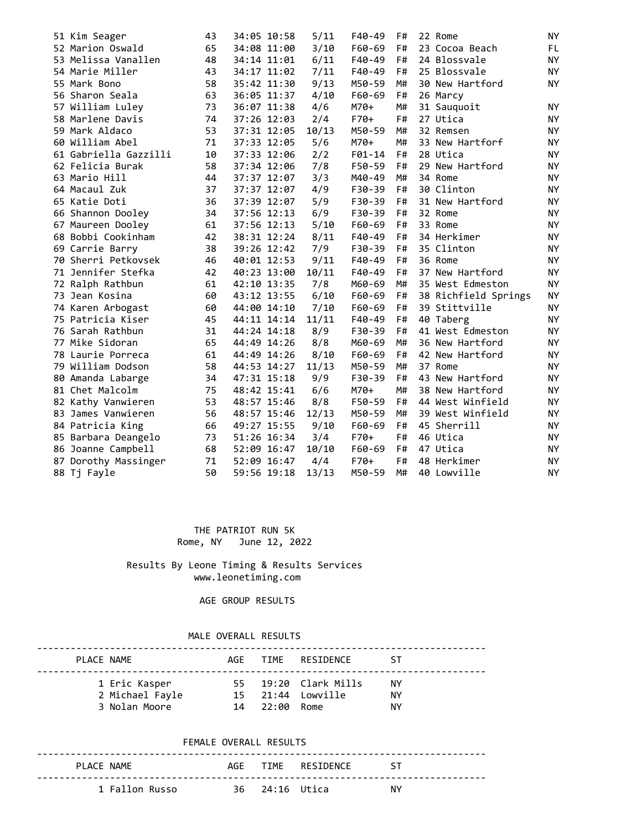|  | 51 Kim Seager         | 43 | 34:05 10:58 | 5/11  | F40-49 | F# | 22 Rome              | <b>NY</b> |
|--|-----------------------|----|-------------|-------|--------|----|----------------------|-----------|
|  | 52 Marion Oswald      | 65 | 34:08 11:00 | 3/10  | F60-69 | F# | 23 Cocoa Beach       | FL.       |
|  | 53 Melissa Vanallen   | 48 | 34:14 11:01 | 6/11  | F40-49 | F# | 24 Blossvale         | NY        |
|  | 54 Marie Miller       | 43 | 34:17 11:02 | 7/11  | F40-49 | F# | 25 Blossvale         | <b>NY</b> |
|  | 55 Mark Bono          | 58 | 35:42 11:30 | 9/13  | M50-59 | M# | 30 New Hartford      | <b>NY</b> |
|  | 56 Sharon Seala       | 63 | 36:05 11:37 | 4/10  | F60-69 | F# | 26 Marcy             |           |
|  | 57 William Luley      | 73 | 36:07 11:38 | 4/6   | M70+   | M# | 31 Sauquoit          | <b>NY</b> |
|  | 58 Marlene Davis      | 74 | 37:26 12:03 | 2/4   | $F70+$ | F# | 27 Utica             | <b>NY</b> |
|  | 59 Mark Aldaco        | 53 | 37:31 12:05 | 10/13 | M50-59 | M# | 32 Remsen            | NY        |
|  | 60 William Abel       | 71 | 37:33 12:05 | 5/6   | M70+   | M# | 33 New Hartforf      | <b>NY</b> |
|  | 61 Gabriella Gazzilli | 10 | 37:33 12:06 | 2/2   | F01-14 | F# | 28 Utica             | NY.       |
|  | 62 Felicia Burak      | 58 | 37:34 12:06 | 7/8   | F50-59 | F# | 29 New Hartford      | NY.       |
|  | 63 Mario Hill         | 44 | 37:37 12:07 | 3/3   | M40-49 | M# | 34 Rome              | <b>NY</b> |
|  | 64 Macaul Zuk         | 37 | 37:37 12:07 | 4/9   | F30-39 | F# | 30 Clinton           | NY.       |
|  | 65 Katie Doti         | 36 | 37:39 12:07 | 5/9   | F30-39 | F# | 31 New Hartford      | NY.       |
|  | 66 Shannon Dooley     | 34 | 37:56 12:13 | 6/9   | F30-39 | F# | 32 Rome              | <b>NY</b> |
|  | 67 Maureen Dooley     | 61 | 37:56 12:13 | 5/10  | F60-69 | F# | 33 Rome              | NY.       |
|  | 68 Bobbi Cookinham    | 42 | 38:31 12:24 | 8/11  | F40-49 | F# | 34 Herkimer          | NY.       |
|  | 69 Carrie Barry       | 38 | 39:26 12:42 | 7/9   | F30-39 | F# | 35 Clinton           | <b>NY</b> |
|  | 70 Sherri Petkovsek   | 46 | 40:01 12:53 | 9/11  | F40-49 | F# | 36 Rome              | <b>NY</b> |
|  | 71 Jennifer Stefka    | 42 | 40:23 13:00 | 10/11 | F40-49 | F# | 37 New Hartford      | NY.       |
|  | 72 Ralph Rathbun      | 61 | 42:10 13:35 | 7/8   | M60-69 | M# | 35 West Edmeston     | NY        |
|  | 73 Jean Kosina        | 60 | 43:12 13:55 | 6/10  | F60-69 | F# | 38 Richfield Springs | NY.       |
|  | 74 Karen Arbogast     | 60 | 44:00 14:10 | 7/10  | F60-69 | F# | 39 Stittville        | NY        |
|  | 75 Patricia Kiser     | 45 | 44:11 14:14 | 11/11 | F40-49 | F# | 40 Taberg            | <b>NY</b> |
|  | 76 Sarah Rathbun      | 31 | 44:24 14:18 | 8/9   | F30-39 | F# | 41 West Edmeston     | NY        |
|  | 77 Mike Sidoran       | 65 | 44:49 14:26 | 8/8   | M60-69 | M# | 36 New Hartford      | NY.       |
|  | 78 Laurie Porreca     | 61 | 44:49 14:26 | 8/10  | F60-69 | F# | 42 New Hartford      | <b>NY</b> |
|  | 79 William Dodson     | 58 | 44:53 14:27 | 11/13 | M50-59 | M# | 37 Rome              | NY.       |
|  | 80 Amanda Labarge     | 34 | 47:31 15:18 | 9/9   | F30-39 | F# | 43 New Hartford      | NY.       |
|  | 81 Chet Malcolm       | 75 | 48:42 15:41 | 6/6   | M70+   | M# | 38 New Hartford      | <b>NY</b> |
|  | 82 Kathy Vanwieren    | 53 | 48:57 15:46 | 8/8   | F50-59 | F# | 44 West Winfield     | <b>NY</b> |
|  | 83 James Vanwieren    | 56 | 48:57 15:46 | 12/13 | M50-59 | M# | 39 West Winfield     | <b>NY</b> |
|  | 84 Patricia King      | 66 | 49:27 15:55 | 9/10  | F60-69 | F# | 45 Sherrill          | <b>NY</b> |
|  | 85 Barbara Deangelo   | 73 | 51:26 16:34 | 3/4   | $F70+$ | F# | 46 Utica             | NY.       |
|  | 86 Joanne Campbell    | 68 | 52:09 16:47 | 10/10 | F60-69 | F# | 47 Utica             | NY.       |
|  | 87 Dorothy Massinger  | 71 | 52:09 16:47 | 4/4   | $F70+$ | F# | 48 Herkimer          | NY.       |
|  | 88 Tj Fayle           | 50 | 59:56 19:18 | 13/13 | M50-59 | M# | 40 Lowville          | <b>NY</b> |
|  |                       |    |             |       |        |    |                      |           |

 THE PATRIOT RUN 5K Rome, NY June 12, 2022

 Results By Leone Timing & Results Services www.leonetiming.com

AGE GROUP RESULTS

## MALE OVERALL RESULTS

| PLACE NAME                                        |               | AGE TIME RESIDENCE                        | ⊆ S⊤            |  |
|---------------------------------------------------|---------------|-------------------------------------------|-----------------|--|
| 1 Eric Kasper<br>2 Michael Fayle<br>3 Nolan Moore | 14 22:00 Rome | 55 19:20 Clark Mills<br>15 21:44 Lowville | NY.<br>ΝY<br>NΥ |  |

### FEMALE OVERALL RESULTS

| PLACE NAME     |                | AGF TIME RESTDENCE<br>$\sim$ ST |    |
|----------------|----------------|---------------------------------|----|
| 1 Fallon Russo | 36 24:16 Utica |                                 | NΥ |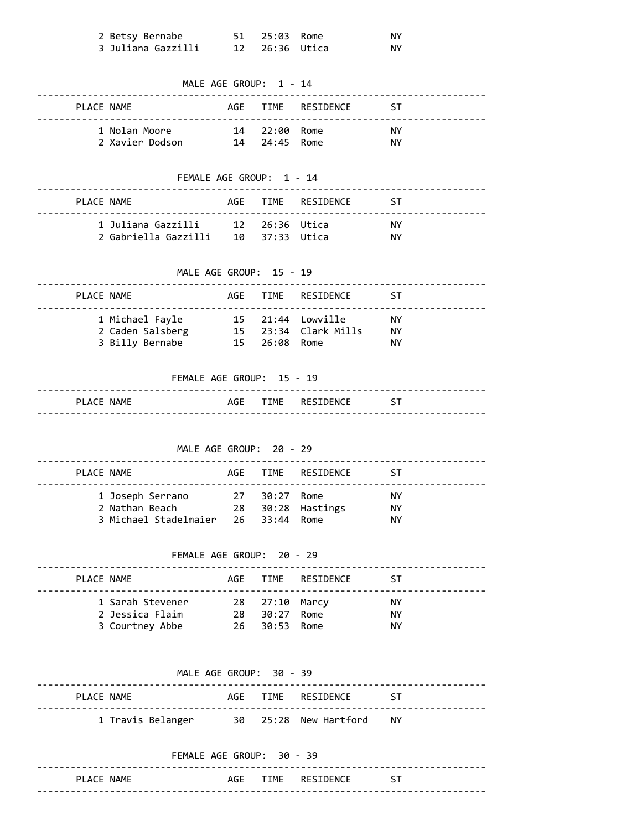| 2 Betsy Bernabe    | 51  25:03  Rome | .NY |
|--------------------|-----------------|-----|
| 3 Juliana Gazzilli |                 | ΝY  |

| MALE AGE GROUP: 1 - 14 |                                                  |     |                            |                       |            |  |  |  |  |  |
|------------------------|--------------------------------------------------|-----|----------------------------|-----------------------|------------|--|--|--|--|--|
| PLACE NAME             |                                                  | AGE | TIME                       | RESIDENCE             | ST         |  |  |  |  |  |
|                        | 1 Nolan Moore                                    |     | --------------<br>14 22:00 | Rome                  | NY.        |  |  |  |  |  |
|                        | 2 Xavier Dodson 14 24:45 Rome                    |     |                            |                       | NY.        |  |  |  |  |  |
|                        | FEMALE AGE GROUP: 1 - 14                         |     |                            |                       |            |  |  |  |  |  |
|                        |                                                  |     |                            |                       |            |  |  |  |  |  |
| PLACE NAME             |                                                  |     |                            | AGE TIME RESIDENCE    | ST         |  |  |  |  |  |
|                        | 1 Juliana Gazzilli 12 26:36 Utica                |     |                            |                       | NY N       |  |  |  |  |  |
|                        | 2 Gabriella Gazzilli 10 37:33 Utica NY           |     |                            |                       |            |  |  |  |  |  |
|                        | MALE AGE GROUP: 15 - 19                          |     |                            |                       |            |  |  |  |  |  |
| PLACE NAME             |                                                  |     | AGE TIME                   | RESIDENCE             | ST         |  |  |  |  |  |
|                        | 1 Michael Fayle                                  |     |                            | 15 21:44 Lowville NY  |            |  |  |  |  |  |
|                        | 2 Caden Salsberg 15 23:34 Clark Mills NY         |     |                            |                       |            |  |  |  |  |  |
|                        | 3 Billy Bernabe                                  |     | 15  26:08  Rome            |                       | NY.        |  |  |  |  |  |
|                        | FEMALE AGE GROUP: 15 - 19                        |     |                            |                       |            |  |  |  |  |  |
| PLACE NAME             |                                                  |     |                            | AGE TIME RESIDENCE ST |            |  |  |  |  |  |
|                        | MALE AGE GROUP: 20 - 29                          |     |                            |                       |            |  |  |  |  |  |
| PLACE NAME             |                                                  |     | AGE TIME<br>--------       | RESIDENCE             | ST.        |  |  |  |  |  |
|                        | 1 Joseph Serrano                                 |     | 27 30:27                   | Rome                  | NY.        |  |  |  |  |  |
|                        | 2 Nathan Beach<br>3 Michael Stadelmaier 26 33:44 |     | 28 30:28                   | Hastings<br>Rome      | NY.<br>NY. |  |  |  |  |  |
|                        |                                                  |     |                            |                       |            |  |  |  |  |  |
|                        | FEMALE AGE GROUP: 20 - 29                        |     |                            |                       |            |  |  |  |  |  |
|                        | PLACE NAME                                       |     |                            | AGE TIME RESIDENCE    | ST ST      |  |  |  |  |  |
|                        | 1 Sarah Stevener 28 27:10 Marcy NY               |     |                            |                       |            |  |  |  |  |  |
|                        | 2 Jessica Flaim 28 30:27 Rome                    |     |                            |                       | NY.        |  |  |  |  |  |
|                        | 3 Courtney Abbe 26 30:53 Rome                    |     |                            |                       | <b>NY</b>  |  |  |  |  |  |
|                        |                                                  |     |                            |                       |            |  |  |  |  |  |
|                        | MALE AGE GROUP: 30 - 39                          |     |                            |                       |            |  |  |  |  |  |
|                        | PLACE NAME                                       |     |                            | AGE TIME RESIDENCE ST |            |  |  |  |  |  |
|                        | 1 Travis Belanger 30 25:28 New Hartford NY       |     |                            |                       |            |  |  |  |  |  |
|                        | FEMALE AGE GROUP: 30 - 39                        |     |                            |                       |            |  |  |  |  |  |
|                        |                                                  |     |                            |                       |            |  |  |  |  |  |

PLACE NAME **AGE TIME** RESIDENCE ST --------------------------------------------------------------------------------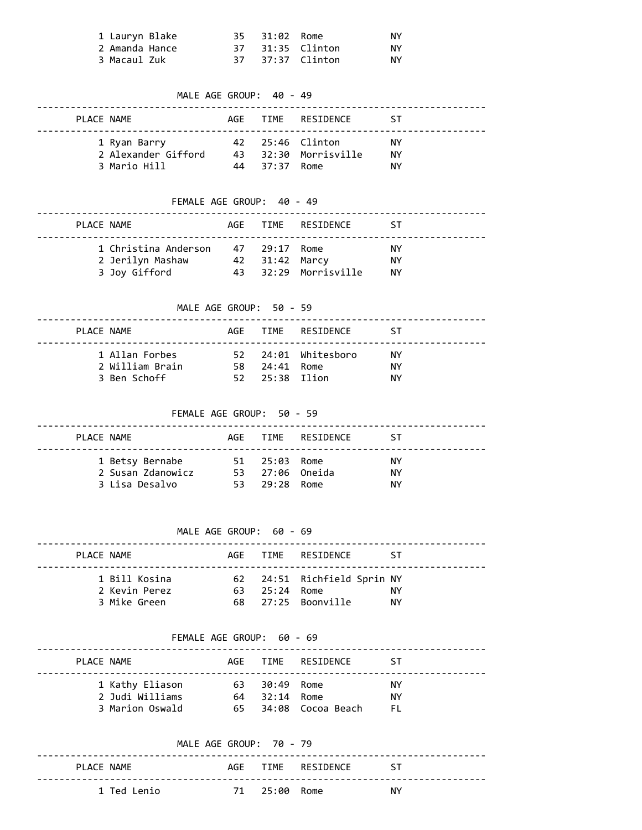| 1 Lauryn Blake |  | 35 31:02 Rome |                  | ΝY |
|----------------|--|---------------|------------------|----|
| 2 Amanda Hance |  |               | 37 31:35 Clinton | ΝY |
| 3 Macaul Zuk   |  |               | 37 37:37 Clinton | ΝY |

# MALE AGE GROUP: 40 - 49 -------------------------------------------------------------------------------- PLACE NAME **AGE TIME** RESIDENCE ST -------------------------------------------------------------------------------- 1 Ryan Barry 42 25:46 Clinton NY 2 Alexander Gifford 43 32:30 Morrisville NY 3 Mario Hill 44 37:37 Rome NY FEMALE AGE GROUP: 40 - 49 -------------------------------------------------------------------------------- PLACE NAME **AGE TIME** RESIDENCE ST

| 1 Christina Anderson 47 29:17 Rome |                |                      | ΝY  |
|------------------------------------|----------------|----------------------|-----|
| 2 Jerilyn Mashaw                   | 42 31:42 Marcy |                      | ΝY  |
| 3 Joy Gifford                      |                | 43 32:29 Morrisville | NY. |

### MALE AGE GROUP: 50 - 59

| PLACE NAME |                                                   |                                 | AGF TIME RESIDENCE  | ⊆ S⊤            |
|------------|---------------------------------------------------|---------------------------------|---------------------|-----------------|
|            | 1 Allan Forbes<br>2 William Brain<br>3 Ben Schoff | 58 24:41 Rome<br>52 25:38 Ilion | 52 24:01 Whitesboro | NY.<br>NΥ<br>ΝY |

FEMALE AGE GROUP: 50 - 59

| PLACE NAME                                             |                                                   | AGE TIME RESIDENCE | - 5 T            |  |
|--------------------------------------------------------|---------------------------------------------------|--------------------|------------------|--|
| 1 Betsy Bernabe<br>2 Susan Zdanowicz<br>3 Lisa Desalvo | 51 25:03 Rome<br>53 27:06 Oneida<br>53 29:28 Rome |                    | NY.<br>NΥ<br>NY. |  |

| PLACE NAME |                                                |               | AGE TIME RESIDENCE                                | - 5 T            |
|------------|------------------------------------------------|---------------|---------------------------------------------------|------------------|
|            | 1 Bill Kosina<br>2 Kevin Perez<br>3 Mike Green | 63 25:24 Rome | 62 24:51 Richfield Sprin NY<br>68 27:25 Boonville | NY.<br><b>NY</b> |

### FEMALE AGE GROUP: 60 - 69

| PLACE NAME |                                                       |                                | AGF TIME RESIDENCE   | - 5 T            |
|------------|-------------------------------------------------------|--------------------------------|----------------------|------------------|
|            | 1 Kathy Eliason<br>2 Judi Williams<br>3 Marion Oswald | 63 30:49 Rome<br>64 32:14 Rome | 65 34:08 Cocoa Beach | NY.<br>NΥ<br>EL. |

|             | MALE AGE GROUP: 70 - 79 |               |                    |           |
|-------------|-------------------------|---------------|--------------------|-----------|
| PLACE NAME  |                         |               | AGF TIME RESTDENCE | <b>ST</b> |
| 1 Ted Lenio |                         | 71 25:00 Rome |                    | NΥ        |